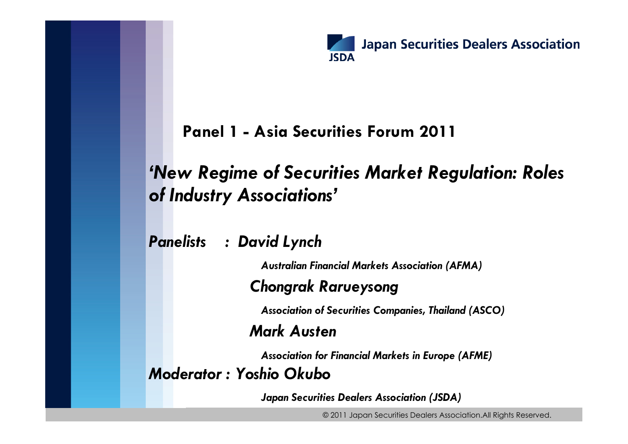

#### **Panel 1 - Asia Securities Forum 2011**

#### *'New Regime of Securities Market Regulation: Roles of Industry Associations'*

*Panelists : David Lynch*

*Australian Financial Markets Association (AFMA)*

#### *Chongrak Rarueysong*

*Association of Securities Companies, Thailand (ASCO)*

#### *Mark Austen*

*Association for Financial Markets in Europe (AFME)*

*Moderator : Yoshio Okubo*

*Japan Securities Dealers Association (JSDA)*

© 2011 Japan Securities Dealers Association.All Rights Reserved.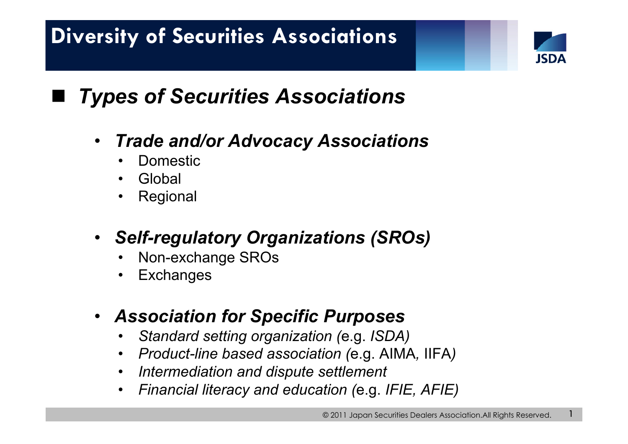

1

## *Types of Securities Associations*

- • *Trade and/or Advocacy Associations* 
	- •Domestic
	- •Global

- •Regional
- *Self-regulatory Organizations (SROs)*
	- •Non-exchange SROs
	- •**Exchanges**
- *Association for Specific Purposes*
	- •*Standard setting organization (*e.g. *ISDA)*
	- $\bullet$ *Product-line based association (*e.g. AIMA*,* IIFA*)*
	- $\bullet$ *Intermediation and dispute settlement*
	- $\bullet$ *Financial literacy and education (*e.g. *IFIE, AFIE)*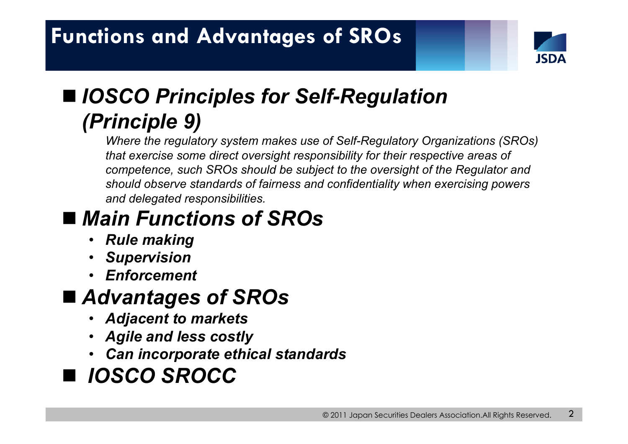

# *IOSCO Principles for Self-Regulation (Principle 9)*

*Where the regulatory system makes use of Self-Regulatory Organizations (SROs) that exercise some direct oversight responsibility for their respective areas of competence, such SROs should be subject to the oversight of the Regulator and should observe standards of fairness and confidentiality when exercising powers and delegated responsibilities.*

### *Main Functions of SROs*

- •*Rule making*
- •*Supervision*
- •*Enforcement*

### *Advantages of SROs*

- •*Adjacent to markets*
- •*Agile and less costly*
- *Can incorporate ethical standards*

## *IOSCO SROCC*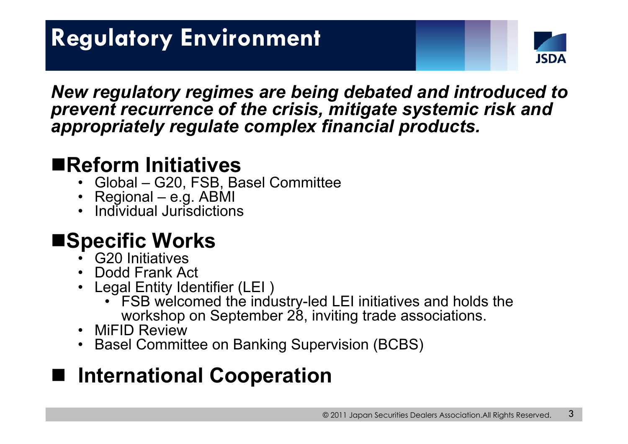

*New regulatory regimes are being debated and introduced to prevent recurrence of the crisis, mitigate systemic risk and appropriately regulate complex financial products.* 

### **Reform Initiatives**

- •Global – G20, FSB, Basel Committee
- •Regional – e.g. ABMI
- •Individual Jurisdictions

### ■Specific Works

- •G20 Initiatives
- •Dodd Frank Act
- Legal Entity Identifier (LEI )
	- FSB welcomed the industry-led LEI initiatives and holds the workshop on September 28, inviting trade associations.
- •MiFID Review
- •Basel Committee on Banking Supervision (BCBS)

## **International Cooperation**